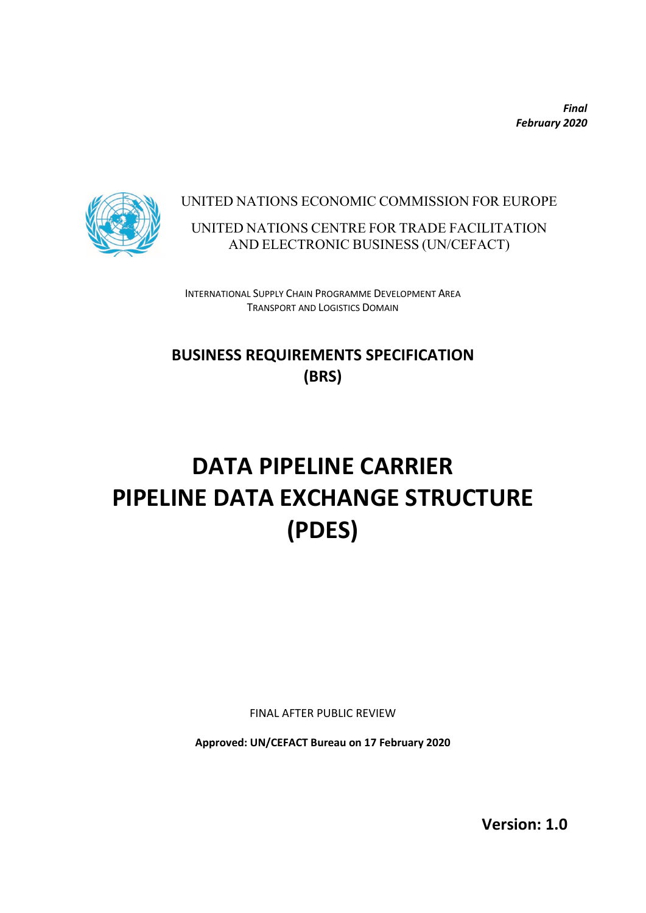*Final February 2020*



### UNITED NATIONS ECONOMIC COMMISSION FOR EUROPE

UNITED NATIONS CENTRE FOR TRADE FACILITATION AND ELECTRONIC BUSINESS (UN/CEFACT)

INTERNATIONAL SUPPLY CHAIN PROGRAMME DEVELOPMENT AREA TRANSPORT AND LOGISTICS DOMAIN

# **BUSINESS REQUIREMENTS SPECIFICATION (BRS)**

# **DATA PIPELINE CARRIER PIPELINE DATA EXCHANGE STRUCTURE (PDES)**

FINAL AFTER PUBLIC REVIEW

**Approved: UN/CEFACT Bureau on 17 February 2020**

**Version: 1.0**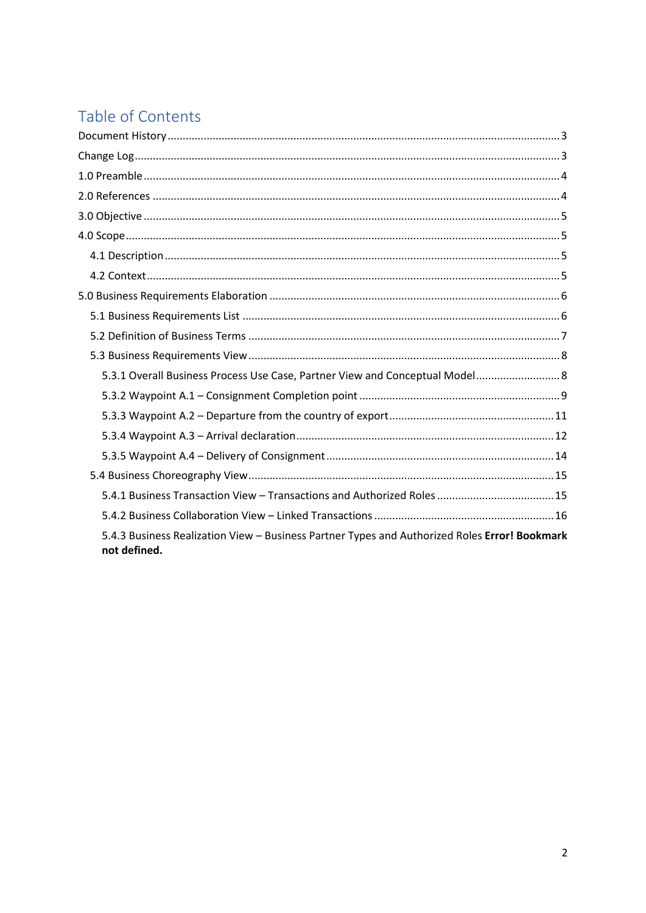# Table of Contents

<span id="page-1-0"></span>

| 5.3.1 Overall Business Process Use Case, Partner View and Conceptual Model 8                                  |
|---------------------------------------------------------------------------------------------------------------|
|                                                                                                               |
|                                                                                                               |
|                                                                                                               |
|                                                                                                               |
|                                                                                                               |
|                                                                                                               |
|                                                                                                               |
| 5.4.3 Business Realization View - Business Partner Types and Authorized Roles Error! Bookmark<br>not defined. |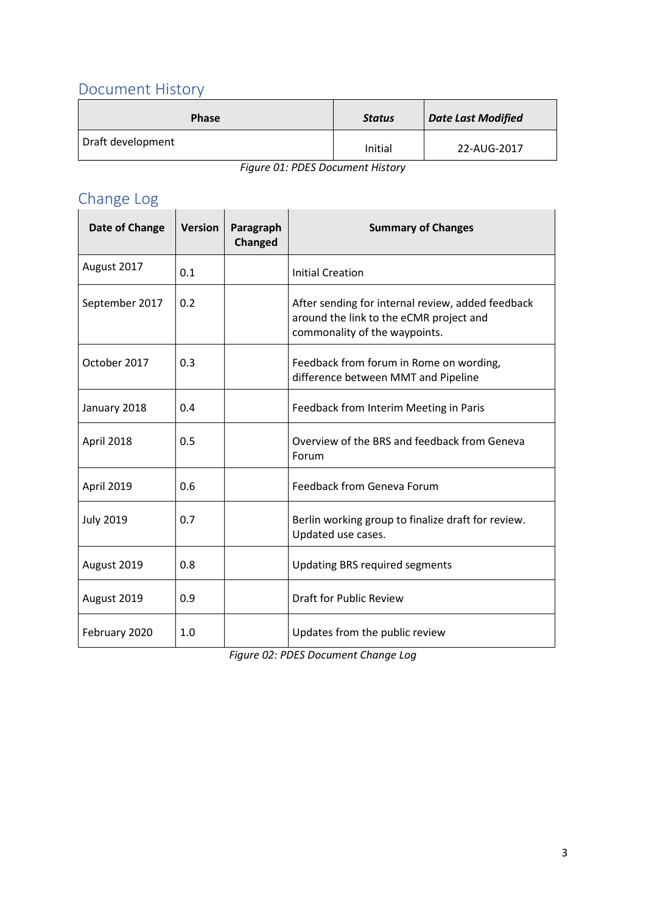## Document History

| <b>Phase</b>      | <b>Status</b> | <b>Date Last Modified</b> |
|-------------------|---------------|---------------------------|
| Draft development | Initial       | 22-AUG-2017               |

*Figure 01: PDES Document History*

# <span id="page-2-0"></span>Change Log

| Date of Change   | <b>Version</b> | Paragraph<br>Changed | <b>Summary of Changes</b>                                                                                                     |
|------------------|----------------|----------------------|-------------------------------------------------------------------------------------------------------------------------------|
| August 2017      | 0.1            |                      | <b>Initial Creation</b>                                                                                                       |
| September 2017   | 0.2            |                      | After sending for internal review, added feedback<br>around the link to the eCMR project and<br>commonality of the waypoints. |
| October 2017     | 0.3            |                      | Feedback from forum in Rome on wording,<br>difference between MMT and Pipeline                                                |
| January 2018     | 0.4            |                      | Feedback from Interim Meeting in Paris                                                                                        |
| April 2018       | 0.5            |                      | Overview of the BRS and feedback from Geneva<br>Forum                                                                         |
| April 2019       | 0.6            |                      | Feedback from Geneva Forum                                                                                                    |
| <b>July 2019</b> | 0.7            |                      | Berlin working group to finalize draft for review.<br>Updated use cases.                                                      |
| August 2019      | 0.8            |                      | <b>Updating BRS required segments</b>                                                                                         |
| August 2019      | 0.9            |                      | <b>Draft for Public Review</b>                                                                                                |
| February 2020    | 1.0            |                      | Updates from the public review                                                                                                |

<span id="page-2-1"></span>*Figure 02: PDES Document Change Log*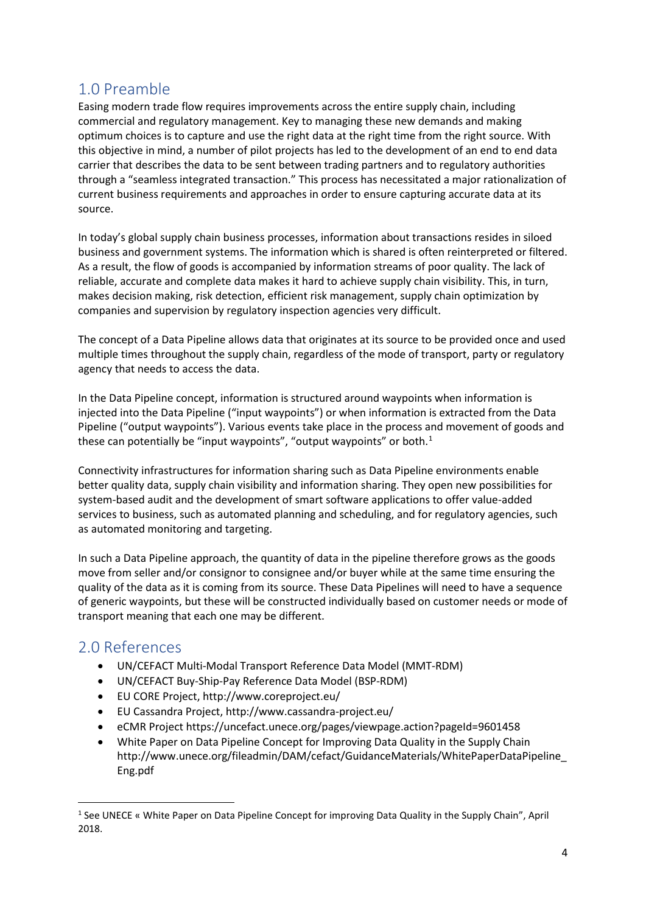### 1.0 Preamble

Easing modern trade flow requires improvements across the entire supply chain, including commercial and regulatory management. Key to managing these new demands and making optimum choices is to capture and use the right data at the right time from the right source. With this objective in mind, a number of pilot projects has led to the development of an end to end data carrier that describes the data to be sent between trading partners and to regulatory authorities through a "seamless integrated transaction." This process has necessitated a major rationalization of current business requirements and approaches in order to ensure capturing accurate data at its source.

In today's global supply chain business processes, information about transactions resides in siloed business and government systems. The information which is shared is often reinterpreted or filtered. As a result, the flow of goods is accompanied by information streams of poor quality. The lack of reliable, accurate and complete data makes it hard to achieve supply chain visibility. This, in turn, makes decision making, risk detection, efficient risk management, supply chain optimization by companies and supervision by regulatory inspection agencies very difficult.

The concept of a Data Pipeline allows data that originates at its source to be provided once and used multiple times throughout the supply chain, regardless of the mode of transport, party or regulatory agency that needs to access the data.

In the Data Pipeline concept, information is structured around waypoints when information is injected into the Data Pipeline ("input waypoints") or when information is extracted from the Data Pipeline ("output waypoints"). Various events take place in the process and movement of goods and these can potentially be "input waypoints", "output waypoints" or both. $<sup>1</sup>$  $<sup>1</sup>$  $<sup>1</sup>$ </sup>

Connectivity infrastructures for information sharing such as Data Pipeline environments enable better quality data, supply chain visibility and information sharing. They open new possibilities for system-based audit and the development of smart software applications to offer value-added services to business, such as automated planning and scheduling, and for regulatory agencies, such as automated monitoring and targeting.

In such a Data Pipeline approach, the quantity of data in the pipeline therefore grows as the goods move from seller and/or consignor to consignee and/or buyer while at the same time ensuring the quality of the data as it is coming from its source. These Data Pipelines will need to have a sequence of generic waypoints, but these will be constructed individually based on customer needs or mode of transport meaning that each one may be different.

### <span id="page-3-0"></span>2.0 References

- UN/CEFACT Multi-Modal Transport Reference Data Model (MMT-RDM)
- UN/CEFACT Buy-Ship-Pay Reference Data Model (BSP-RDM)
- EU CORE Project, http://www.coreproject.eu/
- EU Cassandra Project, http://www.cassandra-project.eu/
- eCMR Project https://uncefact.unece.org/pages/viewpage.action?pageId=9601458
- White Paper on Data Pipeline Concept for Improving Data Quality in the Supply Chain http://www.unece.org/fileadmin/DAM/cefact/GuidanceMaterials/WhitePaperDataPipeline\_ Eng.pdf

<span id="page-3-1"></span><sup>&</sup>lt;sup>1</sup> See UNECE « White Paper on Data Pipeline Concept for improving Data Quality in the Supply Chain", April 2018.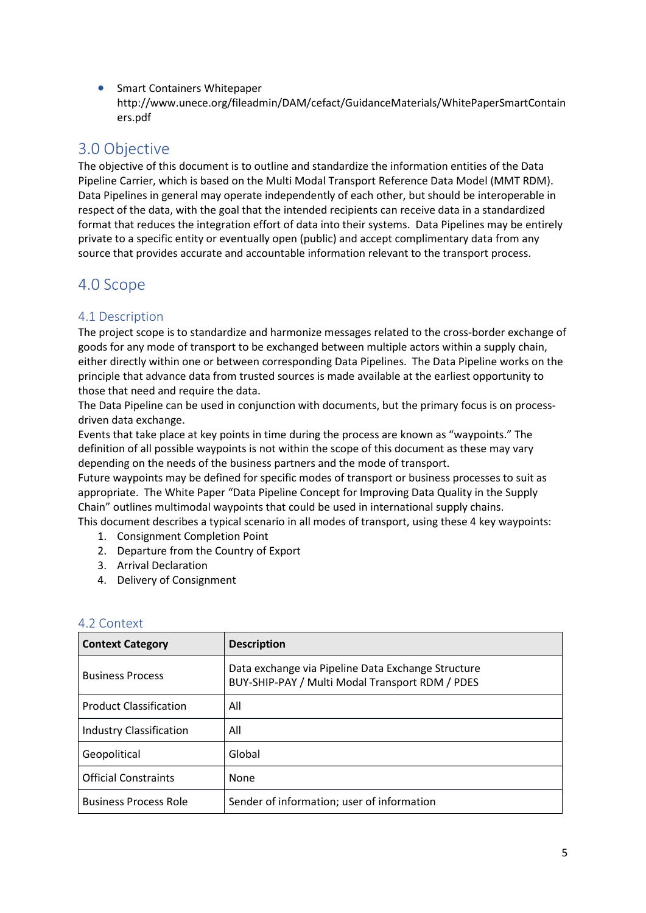• Smart Containers Whitepaper http://www.unece.org/fileadmin/DAM/cefact/GuidanceMaterials/WhitePaperSmartContain ers.pdf

### <span id="page-4-0"></span>3.0 Objective

The objective of this document is to outline and standardize the information entities of the Data Pipeline Carrier, which is based on the Multi Modal Transport Reference Data Model (MMT RDM). Data Pipelines in general may operate independently of each other, but should be interoperable in respect of the data, with the goal that the intended recipients can receive data in a standardized format that reduces the integration effort of data into their systems. Data Pipelines may be entirely private to a specific entity or eventually open (public) and accept complimentary data from any source that provides accurate and accountable information relevant to the transport process.

### <span id="page-4-1"></span>4.0 Scope

### <span id="page-4-2"></span>4.1 Description

The project scope is to standardize and harmonize messages related to the cross-border exchange of goods for any mode of transport to be exchanged between multiple actors within a supply chain, either directly within one or between corresponding Data Pipelines. The Data Pipeline works on the principle that advance data from trusted sources is made available at the earliest opportunity to those that need and require the data.

The Data Pipeline can be used in conjunction with documents, but the primary focus is on processdriven data exchange.

Events that take place at key points in time during the process are known as "waypoints." The definition of all possible waypoints is not within the scope of this document as these may vary depending on the needs of the business partners and the mode of transport.

Future waypoints may be defined for specific modes of transport or business processes to suit as appropriate. The White Paper "Data Pipeline Concept for Improving Data Quality in the Supply Chain" outlines multimodal waypoints that could be used in international supply chains.

This document describes a typical scenario in all modes of transport, using these 4 key waypoints:

- 1. Consignment Completion Point
- 2. Departure from the Country of Export
- 3. Arrival Declaration
- 4. Delivery of Consignment

| <b>Context Category</b>        | <b>Description</b>                                                                                    |
|--------------------------------|-------------------------------------------------------------------------------------------------------|
| <b>Business Process</b>        | Data exchange via Pipeline Data Exchange Structure<br>BUY-SHIP-PAY / Multi Modal Transport RDM / PDES |
| <b>Product Classification</b>  | All                                                                                                   |
| <b>Industry Classification</b> | All                                                                                                   |
| Geopolitical                   | Global                                                                                                |
| <b>Official Constraints</b>    | <b>None</b>                                                                                           |
| <b>Business Process Role</b>   | Sender of information; user of information                                                            |

#### <span id="page-4-3"></span>4.2 Context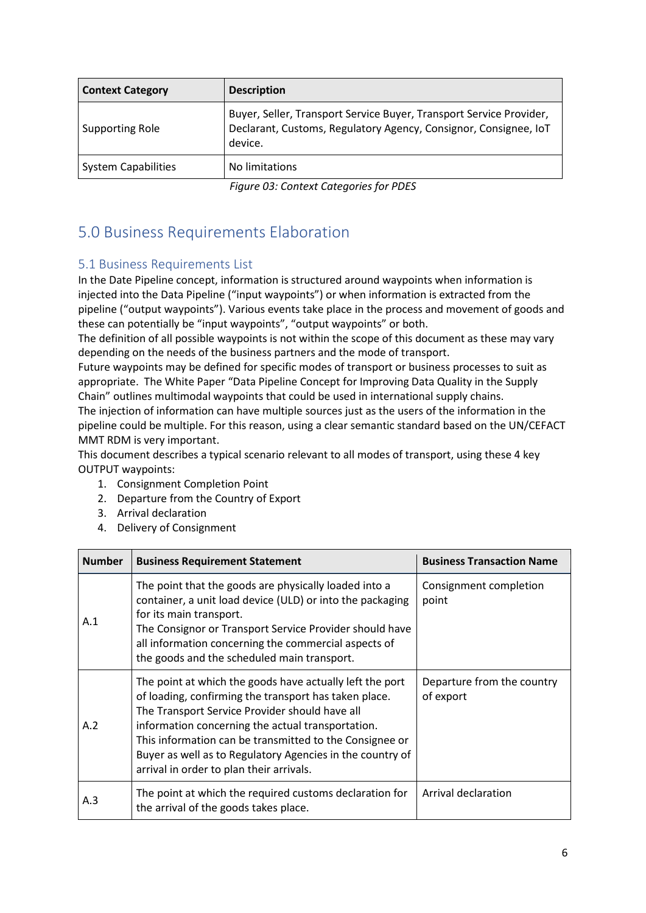| <b>Description</b>                                                                                                                                 |
|----------------------------------------------------------------------------------------------------------------------------------------------------|
| Buyer, Seller, Transport Service Buyer, Transport Service Provider,<br>Declarant, Customs, Regulatory Agency, Consignor, Consignee, IoT<br>device. |
| No limitations                                                                                                                                     |
|                                                                                                                                                    |

*Figure 03: Context Categories for PDES*

# <span id="page-5-0"></span>5.0 Business Requirements Elaboration

### <span id="page-5-1"></span>5.1 Business Requirements List

In the Date Pipeline concept, information is structured around waypoints when information is injected into the Data Pipeline ("input waypoints") or when information is extracted from the pipeline ("output waypoints"). Various events take place in the process and movement of goods and these can potentially be "input waypoints", "output waypoints" or both.

The definition of all possible waypoints is not within the scope of this document as these may vary depending on the needs of the business partners and the mode of transport.

Future waypoints may be defined for specific modes of transport or business processes to suit as appropriate. The White Paper "Data Pipeline Concept for Improving Data Quality in the Supply Chain" outlines multimodal waypoints that could be used in international supply chains. The injection of information can have multiple sources just as the users of the information in the pipeline could be multiple. For this reason, using a clear semantic standard based on the UN/CEFACT MMT RDM is very important.

This document describes a typical scenario relevant to all modes of transport, using these 4 key OUTPUT waypoints:

- 1. Consignment Completion Point
- 2. Departure from the Country of Export
- 3. Arrival declaration
- 4. Delivery of Consignment

| <b>Number</b> | <b>Business Requirement Statement</b>                                                                                                                                                                                                                                                                                                                                                        | <b>Business Transaction Name</b>        |
|---------------|----------------------------------------------------------------------------------------------------------------------------------------------------------------------------------------------------------------------------------------------------------------------------------------------------------------------------------------------------------------------------------------------|-----------------------------------------|
| A.1           | The point that the goods are physically loaded into a<br>container, a unit load device (ULD) or into the packaging<br>for its main transport.<br>The Consignor or Transport Service Provider should have<br>all information concerning the commercial aspects of<br>the goods and the scheduled main transport.                                                                              | Consignment completion<br>point         |
| A.2           | The point at which the goods have actually left the port<br>of loading, confirming the transport has taken place.<br>The Transport Service Provider should have all<br>information concerning the actual transportation.<br>This information can be transmitted to the Consignee or<br>Buyer as well as to Regulatory Agencies in the country of<br>arrival in order to plan their arrivals. | Departure from the country<br>of export |
| A.3           | The point at which the required customs declaration for<br>the arrival of the goods takes place.                                                                                                                                                                                                                                                                                             | Arrival declaration                     |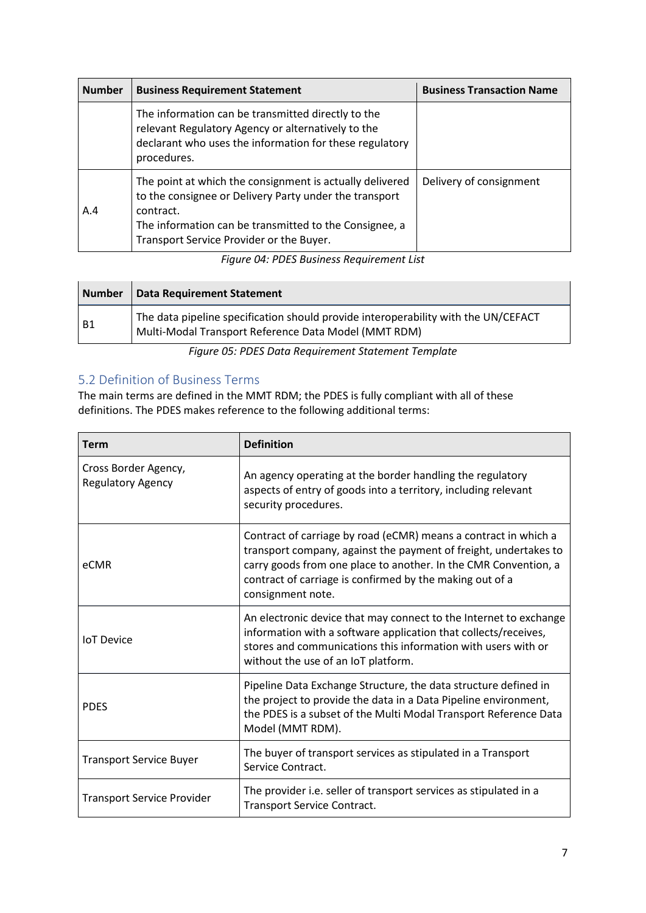| <b>Number</b> | <b>Business Requirement Statement</b>                                                                                                                                                                                                 | <b>Business Transaction Name</b> |
|---------------|---------------------------------------------------------------------------------------------------------------------------------------------------------------------------------------------------------------------------------------|----------------------------------|
|               | The information can be transmitted directly to the<br>relevant Regulatory Agency or alternatively to the<br>declarant who uses the information for these regulatory<br>procedures.                                                    |                                  |
| A.4           | The point at which the consignment is actually delivered<br>to the consignee or Delivery Party under the transport<br>contract.<br>The information can be transmitted to the Consignee, a<br>Transport Service Provider or the Buyer. | Delivery of consignment          |

*Figure 04: PDES Business Requirement List*

| <b>Number</b> | <b>Data Requirement Statement</b>                                                                                                          |
|---------------|--------------------------------------------------------------------------------------------------------------------------------------------|
| <b>B1</b>     | The data pipeline specification should provide interoperability with the UN/CEFACT<br>Multi-Modal Transport Reference Data Model (MMT RDM) |

*Figure 05: PDES Data Requirement Statement Template*

### <span id="page-6-0"></span>5.2 Definition of Business Terms

The main terms are defined in the MMT RDM; the PDES is fully compliant with all of these definitions. The PDES makes reference to the following additional terms:

| <b>Term</b>                                      | <b>Definition</b>                                                                                                                                                                                                                                                                       |
|--------------------------------------------------|-----------------------------------------------------------------------------------------------------------------------------------------------------------------------------------------------------------------------------------------------------------------------------------------|
| Cross Border Agency,<br><b>Regulatory Agency</b> | An agency operating at the border handling the regulatory<br>aspects of entry of goods into a territory, including relevant<br>security procedures.                                                                                                                                     |
| eCMR                                             | Contract of carriage by road (eCMR) means a contract in which a<br>transport company, against the payment of freight, undertakes to<br>carry goods from one place to another. In the CMR Convention, a<br>contract of carriage is confirmed by the making out of a<br>consignment note. |
| <b>IoT</b> Device                                | An electronic device that may connect to the Internet to exchange<br>information with a software application that collects/receives,<br>stores and communications this information with users with or<br>without the use of an IoT platform.                                            |
| <b>PDES</b>                                      | Pipeline Data Exchange Structure, the data structure defined in<br>the project to provide the data in a Data Pipeline environment,<br>the PDES is a subset of the Multi Modal Transport Reference Data<br>Model (MMT RDM).                                                              |
| <b>Transport Service Buyer</b>                   | The buyer of transport services as stipulated in a Transport<br>Service Contract.                                                                                                                                                                                                       |
| <b>Transport Service Provider</b>                | The provider i.e. seller of transport services as stipulated in a<br>Transport Service Contract.                                                                                                                                                                                        |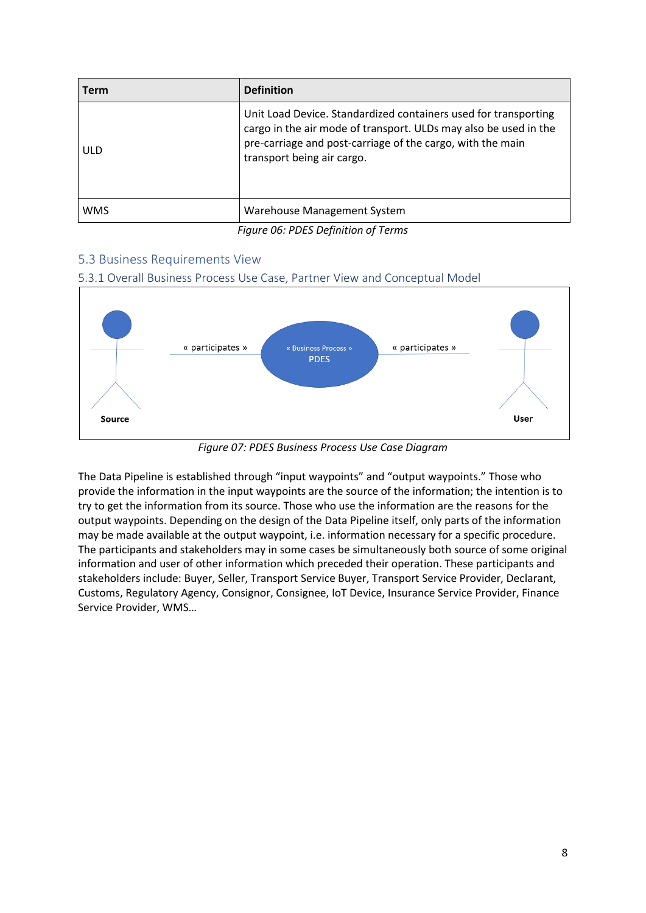| <b>Term</b> | <b>Definition</b>                                                                                                                                                                                                               |
|-------------|---------------------------------------------------------------------------------------------------------------------------------------------------------------------------------------------------------------------------------|
| ULD         | Unit Load Device. Standardized containers used for transporting<br>cargo in the air mode of transport. ULDs may also be used in the<br>pre-carriage and post-carriage of the cargo, with the main<br>transport being air cargo. |
| <b>WMS</b>  | Warehouse Management System                                                                                                                                                                                                     |
|             | $\mathcal{L}^{\prime}$ . As possible in $\mathcal{L}^{\prime}$ . It is the set of $\mathcal{L}^{\prime}$                                                                                                                        |

*Figure 06: PDES Definition of Terms*

### <span id="page-7-0"></span>5.3 Business Requirements View

#### <span id="page-7-1"></span>5.3.1 Overall Business Process Use Case, Partner View and Conceptual Model



*Figure 07: PDES Business Process Use Case Diagram*

The Data Pipeline is established through "input waypoints" and "output waypoints." Those who provide the information in the input waypoints are the source of the information; the intention is to try to get the information from its source. Those who use the information are the reasons for the output waypoints. Depending on the design of the Data Pipeline itself, only parts of the information may be made available at the output waypoint, i.e. information necessary for a specific procedure. The participants and stakeholders may in some cases be simultaneously both source of some original information and user of other information which preceded their operation. These participants and stakeholders include: Buyer, Seller, Transport Service Buyer, Transport Service Provider, Declarant, Customs, Regulatory Agency, Consignor, Consignee, IoT Device, Insurance Service Provider, Finance Service Provider, WMS…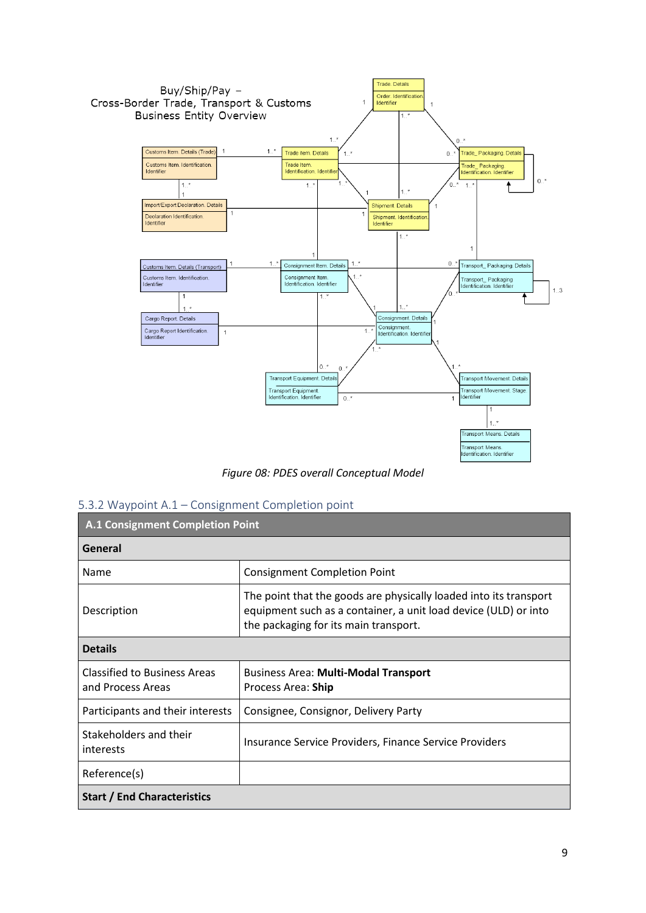

*Figure 08: PDES overall Conceptual Model*

#### <span id="page-8-0"></span>5.3.2 Waypoint A.1 – Consignment Completion point

| <b>A.1 Consignment Completion Point</b>                  |                                                                                                                                                                               |  |
|----------------------------------------------------------|-------------------------------------------------------------------------------------------------------------------------------------------------------------------------------|--|
| General                                                  |                                                                                                                                                                               |  |
| Name                                                     | <b>Consignment Completion Point</b>                                                                                                                                           |  |
| Description                                              | The point that the goods are physically loaded into its transport<br>equipment such as a container, a unit load device (ULD) or into<br>the packaging for its main transport. |  |
| <b>Details</b>                                           |                                                                                                                                                                               |  |
| <b>Classified to Business Areas</b><br>and Process Areas | <b>Business Area: Multi-Modal Transport</b><br>Process Area: Ship                                                                                                             |  |
| Participants and their interests                         | Consignee, Consignor, Delivery Party                                                                                                                                          |  |
| Stakeholders and their<br>interests                      | Insurance Service Providers, Finance Service Providers                                                                                                                        |  |
| Reference(s)                                             |                                                                                                                                                                               |  |
| <b>Start / End Characteristics</b>                       |                                                                                                                                                                               |  |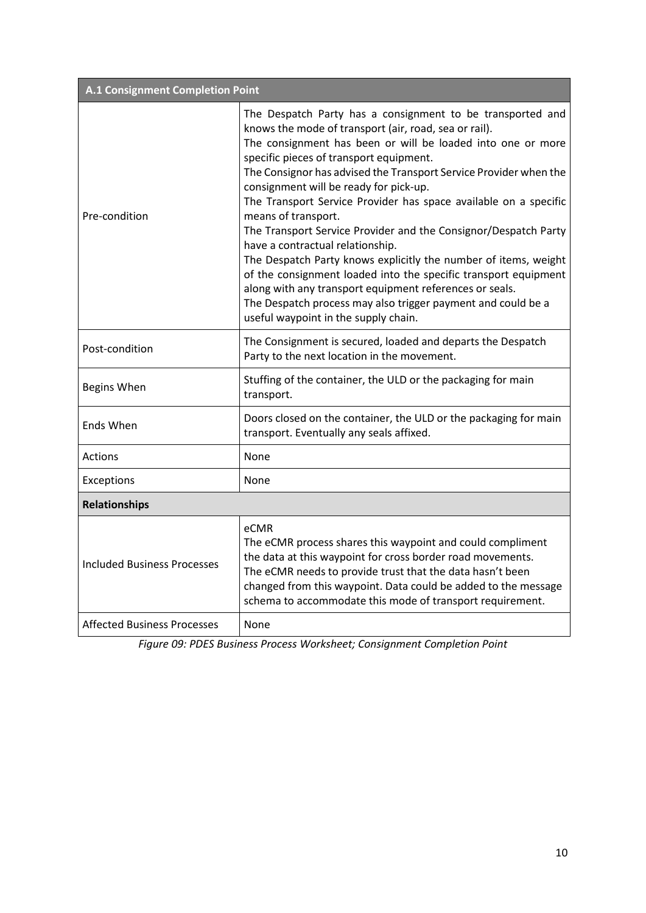| A.1 Consignment Completion Point   |                                                                                                                                                                                                                                                                                                                                                                                                                                                                                                                                                                                                                                                                                                                                                                                                                                                         |  |  |
|------------------------------------|---------------------------------------------------------------------------------------------------------------------------------------------------------------------------------------------------------------------------------------------------------------------------------------------------------------------------------------------------------------------------------------------------------------------------------------------------------------------------------------------------------------------------------------------------------------------------------------------------------------------------------------------------------------------------------------------------------------------------------------------------------------------------------------------------------------------------------------------------------|--|--|
| Pre-condition                      | The Despatch Party has a consignment to be transported and<br>knows the mode of transport (air, road, sea or rail).<br>The consignment has been or will be loaded into one or more<br>specific pieces of transport equipment.<br>The Consignor has advised the Transport Service Provider when the<br>consignment will be ready for pick-up.<br>The Transport Service Provider has space available on a specific<br>means of transport.<br>The Transport Service Provider and the Consignor/Despatch Party<br>have a contractual relationship.<br>The Despatch Party knows explicitly the number of items, weight<br>of the consignment loaded into the specific transport equipment<br>along with any transport equipment references or seals.<br>The Despatch process may also trigger payment and could be a<br>useful waypoint in the supply chain. |  |  |
| Post-condition                     | The Consignment is secured, loaded and departs the Despatch<br>Party to the next location in the movement.                                                                                                                                                                                                                                                                                                                                                                                                                                                                                                                                                                                                                                                                                                                                              |  |  |
| Begins When                        | Stuffing of the container, the ULD or the packaging for main<br>transport.                                                                                                                                                                                                                                                                                                                                                                                                                                                                                                                                                                                                                                                                                                                                                                              |  |  |
| Ends When                          | Doors closed on the container, the ULD or the packaging for main<br>transport. Eventually any seals affixed.                                                                                                                                                                                                                                                                                                                                                                                                                                                                                                                                                                                                                                                                                                                                            |  |  |
| Actions                            | None                                                                                                                                                                                                                                                                                                                                                                                                                                                                                                                                                                                                                                                                                                                                                                                                                                                    |  |  |
| Exceptions                         | None                                                                                                                                                                                                                                                                                                                                                                                                                                                                                                                                                                                                                                                                                                                                                                                                                                                    |  |  |
| <b>Relationships</b>               |                                                                                                                                                                                                                                                                                                                                                                                                                                                                                                                                                                                                                                                                                                                                                                                                                                                         |  |  |
| <b>Included Business Processes</b> | eCMR<br>The eCMR process shares this waypoint and could compliment<br>the data at this waypoint for cross border road movements.<br>The eCMR needs to provide trust that the data hasn't been<br>changed from this waypoint. Data could be added to the message<br>schema to accommodate this mode of transport requirement.                                                                                                                                                                                                                                                                                                                                                                                                                                                                                                                            |  |  |
| <b>Affected Business Processes</b> | None                                                                                                                                                                                                                                                                                                                                                                                                                                                                                                                                                                                                                                                                                                                                                                                                                                                    |  |  |

*Figure 09: PDES Business Process Worksheet; Consignment Completion Point*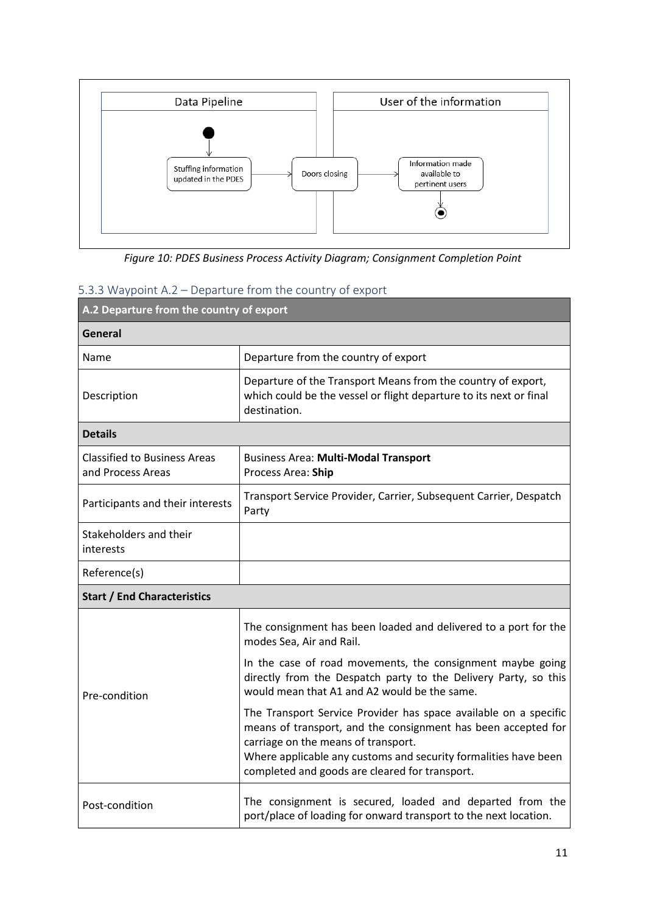

*Figure 10: PDES Business Process Activity Diagram; Consignment Completion Point*

### <span id="page-10-0"></span>5.3.3 Waypoint A.2 – Departure from the country of export

| A.2 Departure from the country of export                 |                                                                                                                                                                                                                                                                                               |  |
|----------------------------------------------------------|-----------------------------------------------------------------------------------------------------------------------------------------------------------------------------------------------------------------------------------------------------------------------------------------------|--|
| General                                                  |                                                                                                                                                                                                                                                                                               |  |
| Name                                                     | Departure from the country of export                                                                                                                                                                                                                                                          |  |
| Description                                              | Departure of the Transport Means from the country of export,<br>which could be the vessel or flight departure to its next or final<br>destination.                                                                                                                                            |  |
| <b>Details</b>                                           |                                                                                                                                                                                                                                                                                               |  |
| <b>Classified to Business Areas</b><br>and Process Areas | <b>Business Area: Multi-Modal Transport</b><br>Process Area: Ship                                                                                                                                                                                                                             |  |
| Participants and their interests                         | Transport Service Provider, Carrier, Subsequent Carrier, Despatch<br>Party                                                                                                                                                                                                                    |  |
| Stakeholders and their<br>interests                      |                                                                                                                                                                                                                                                                                               |  |
| Reference(s)                                             |                                                                                                                                                                                                                                                                                               |  |
| <b>Start / End Characteristics</b>                       |                                                                                                                                                                                                                                                                                               |  |
| Pre-condition                                            | The consignment has been loaded and delivered to a port for the<br>modes Sea, Air and Rail.                                                                                                                                                                                                   |  |
|                                                          | In the case of road movements, the consignment maybe going<br>directly from the Despatch party to the Delivery Party, so this<br>would mean that A1 and A2 would be the same.                                                                                                                 |  |
|                                                          | The Transport Service Provider has space available on a specific<br>means of transport, and the consignment has been accepted for<br>carriage on the means of transport.<br>Where applicable any customs and security formalities have been<br>completed and goods are cleared for transport. |  |
| Post-condition                                           | The consignment is secured, loaded and departed from the<br>port/place of loading for onward transport to the next location.                                                                                                                                                                  |  |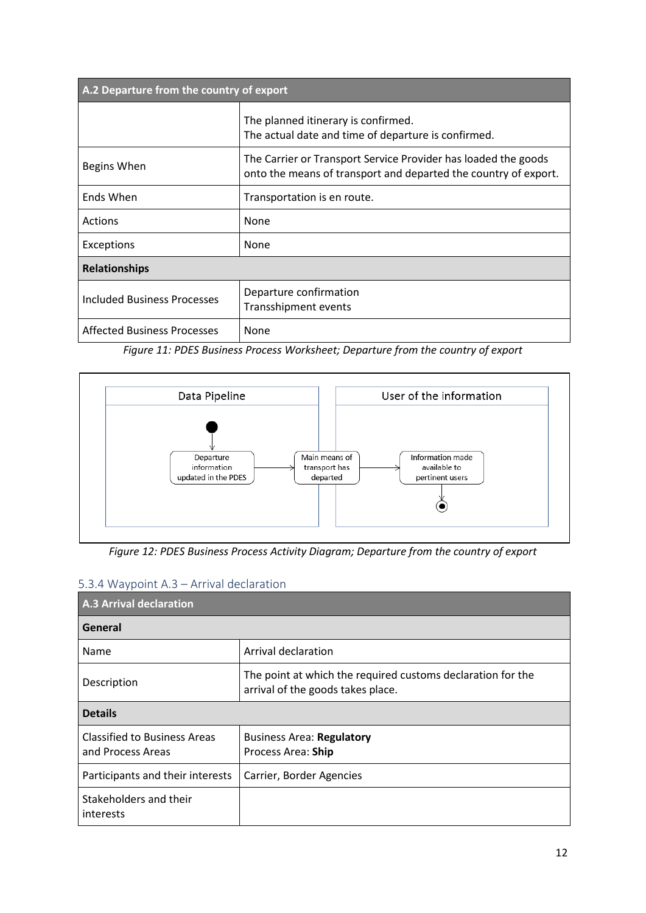| A.2 Departure from the country of export |                                                                                                                                   |  |
|------------------------------------------|-----------------------------------------------------------------------------------------------------------------------------------|--|
|                                          | The planned itinerary is confirmed.<br>The actual date and time of departure is confirmed.                                        |  |
| Begins When                              | The Carrier or Transport Service Provider has loaded the goods<br>onto the means of transport and departed the country of export. |  |
| Ends When                                | Transportation is en route.                                                                                                       |  |
| Actions                                  | None                                                                                                                              |  |
| Exceptions                               | None                                                                                                                              |  |
| <b>Relationships</b>                     |                                                                                                                                   |  |
| <b>Included Business Processes</b>       | Departure confirmation<br>Transshipment events                                                                                    |  |
| <b>Affected Business Processes</b>       | None                                                                                                                              |  |

*Figure 11: PDES Business Process Worksheet; Departure from the country of export*



*Figure 12: PDES Business Process Activity Diagram; Departure from the country of export*

<span id="page-11-0"></span>

|  |  | 5.3.4 Waypoint A.3 - Arrival declaration |
|--|--|------------------------------------------|
|  |  |                                          |

| <b>A.3 Arrival declaration</b>                           |                                                                                                  |  |
|----------------------------------------------------------|--------------------------------------------------------------------------------------------------|--|
| General                                                  |                                                                                                  |  |
| Name                                                     | Arrival declaration                                                                              |  |
| Description                                              | The point at which the required customs declaration for the<br>arrival of the goods takes place. |  |
| <b>Details</b>                                           |                                                                                                  |  |
| <b>Classified to Business Areas</b><br>and Process Areas | <b>Business Area: Regulatory</b><br>Process Area: Ship                                           |  |
| Participants and their interests                         | Carrier, Border Agencies                                                                         |  |
| Stakeholders and their<br>interests                      |                                                                                                  |  |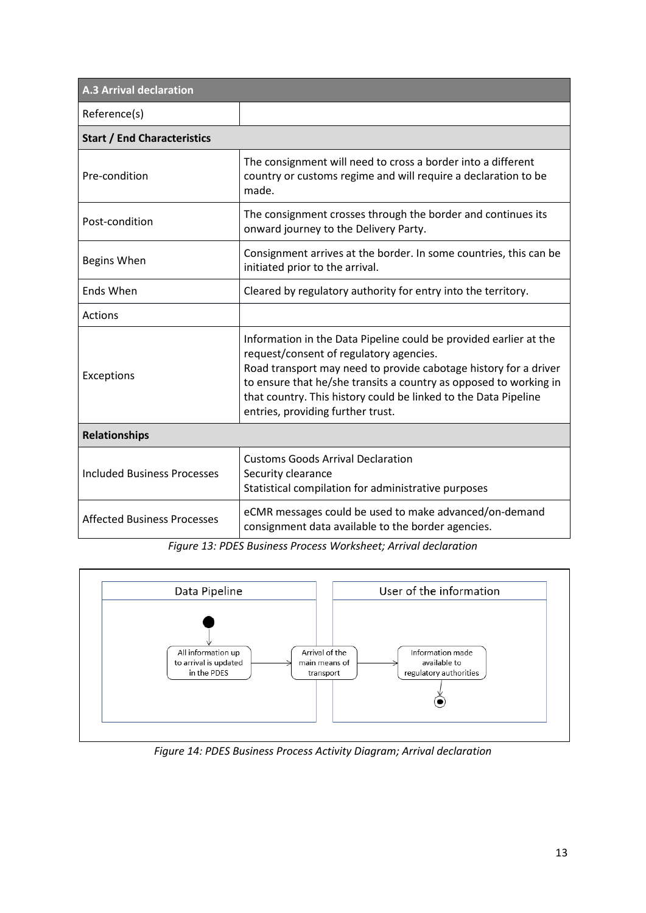| <b>A.3 Arrival declaration</b>     |                                                                                                                                                                                                                                                                                                                                                               |  |
|------------------------------------|---------------------------------------------------------------------------------------------------------------------------------------------------------------------------------------------------------------------------------------------------------------------------------------------------------------------------------------------------------------|--|
| Reference(s)                       |                                                                                                                                                                                                                                                                                                                                                               |  |
| <b>Start / End Characteristics</b> |                                                                                                                                                                                                                                                                                                                                                               |  |
| Pre-condition                      | The consignment will need to cross a border into a different<br>country or customs regime and will require a declaration to be<br>made.                                                                                                                                                                                                                       |  |
| Post-condition                     | The consignment crosses through the border and continues its<br>onward journey to the Delivery Party.                                                                                                                                                                                                                                                         |  |
| Begins When                        | Consignment arrives at the border. In some countries, this can be<br>initiated prior to the arrival.                                                                                                                                                                                                                                                          |  |
| <b>Ends When</b>                   | Cleared by regulatory authority for entry into the territory.                                                                                                                                                                                                                                                                                                 |  |
| <b>Actions</b>                     |                                                                                                                                                                                                                                                                                                                                                               |  |
| Exceptions                         | Information in the Data Pipeline could be provided earlier at the<br>request/consent of regulatory agencies.<br>Road transport may need to provide cabotage history for a driver<br>to ensure that he/she transits a country as opposed to working in<br>that country. This history could be linked to the Data Pipeline<br>entries, providing further trust. |  |
| <b>Relationships</b>               |                                                                                                                                                                                                                                                                                                                                                               |  |
| <b>Included Business Processes</b> | <b>Customs Goods Arrival Declaration</b><br>Security clearance<br>Statistical compilation for administrative purposes                                                                                                                                                                                                                                         |  |
| <b>Affected Business Processes</b> | eCMR messages could be used to make advanced/on-demand<br>consignment data available to the border agencies.                                                                                                                                                                                                                                                  |  |

*Figure 13: PDES Business Process Worksheet; Arrival declaration*



*Figure 14: PDES Business Process Activity Diagram; Arrival declaration*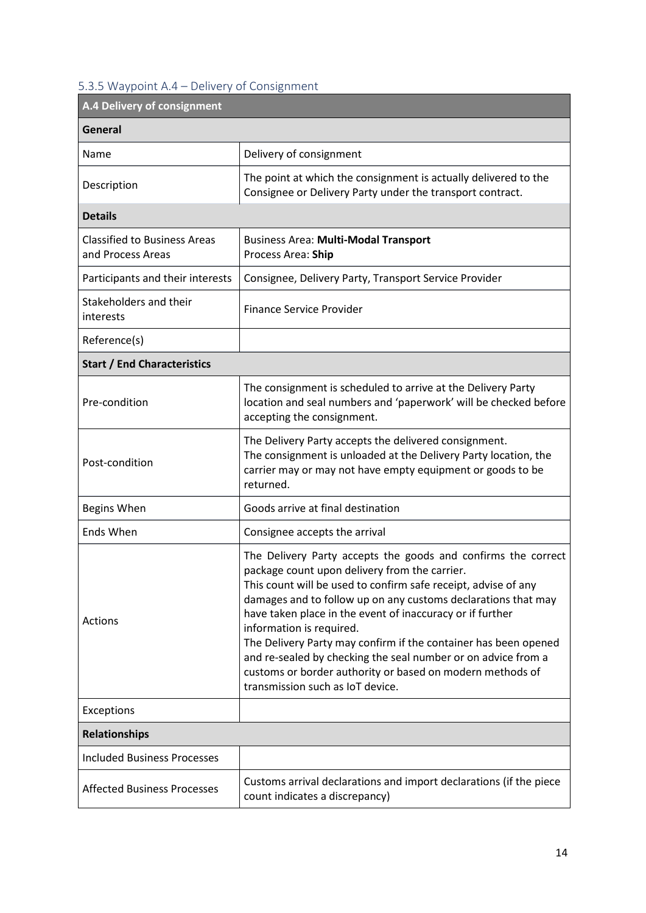### <span id="page-13-0"></span>5.3.5 Waypoint A.4 – Delivery of Consignment

| A.4 Delivery of consignment                              |                                                                                                                                                                                                                                                                                                                                                                                                                                                                                                                                                                                 |  |
|----------------------------------------------------------|---------------------------------------------------------------------------------------------------------------------------------------------------------------------------------------------------------------------------------------------------------------------------------------------------------------------------------------------------------------------------------------------------------------------------------------------------------------------------------------------------------------------------------------------------------------------------------|--|
| General                                                  |                                                                                                                                                                                                                                                                                                                                                                                                                                                                                                                                                                                 |  |
| Name                                                     | Delivery of consignment                                                                                                                                                                                                                                                                                                                                                                                                                                                                                                                                                         |  |
| Description                                              | The point at which the consignment is actually delivered to the<br>Consignee or Delivery Party under the transport contract.                                                                                                                                                                                                                                                                                                                                                                                                                                                    |  |
| <b>Details</b>                                           |                                                                                                                                                                                                                                                                                                                                                                                                                                                                                                                                                                                 |  |
| <b>Classified to Business Areas</b><br>and Process Areas | <b>Business Area: Multi-Modal Transport</b><br>Process Area: Ship                                                                                                                                                                                                                                                                                                                                                                                                                                                                                                               |  |
| Participants and their interests                         | Consignee, Delivery Party, Transport Service Provider                                                                                                                                                                                                                                                                                                                                                                                                                                                                                                                           |  |
| Stakeholders and their<br>interests                      | <b>Finance Service Provider</b>                                                                                                                                                                                                                                                                                                                                                                                                                                                                                                                                                 |  |
| Reference(s)                                             |                                                                                                                                                                                                                                                                                                                                                                                                                                                                                                                                                                                 |  |
| <b>Start / End Characteristics</b>                       |                                                                                                                                                                                                                                                                                                                                                                                                                                                                                                                                                                                 |  |
| Pre-condition                                            | The consignment is scheduled to arrive at the Delivery Party<br>location and seal numbers and 'paperwork' will be checked before<br>accepting the consignment.                                                                                                                                                                                                                                                                                                                                                                                                                  |  |
| Post-condition                                           | The Delivery Party accepts the delivered consignment.<br>The consignment is unloaded at the Delivery Party location, the<br>carrier may or may not have empty equipment or goods to be<br>returned.                                                                                                                                                                                                                                                                                                                                                                             |  |
| Begins When                                              | Goods arrive at final destination                                                                                                                                                                                                                                                                                                                                                                                                                                                                                                                                               |  |
| Ends When                                                | Consignee accepts the arrival                                                                                                                                                                                                                                                                                                                                                                                                                                                                                                                                                   |  |
| <b>Actions</b>                                           | The Delivery Party accepts the goods and confirms the correct<br>package count upon delivery from the carrier.<br>This count will be used to confirm safe receipt, advise of any<br>damages and to follow up on any customs declarations that may<br>have taken place in the event of inaccuracy or if further<br>information is required.<br>The Delivery Party may confirm if the container has been opened<br>and re-sealed by checking the seal number or on advice from a<br>customs or border authority or based on modern methods of<br>transmission such as IoT device. |  |
| Exceptions                                               |                                                                                                                                                                                                                                                                                                                                                                                                                                                                                                                                                                                 |  |
| <b>Relationships</b>                                     |                                                                                                                                                                                                                                                                                                                                                                                                                                                                                                                                                                                 |  |
| <b>Included Business Processes</b>                       |                                                                                                                                                                                                                                                                                                                                                                                                                                                                                                                                                                                 |  |
| <b>Affected Business Processes</b>                       | Customs arrival declarations and import declarations (if the piece<br>count indicates a discrepancy)                                                                                                                                                                                                                                                                                                                                                                                                                                                                            |  |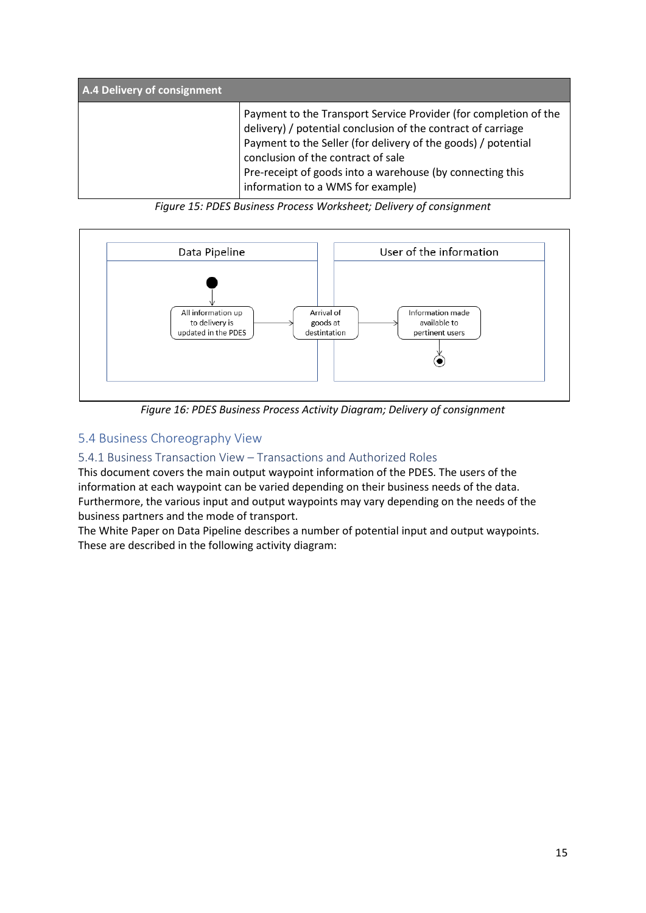| A.4 Delivery of consignment |                                                                                                                                                                                                                                                                                                                                           |
|-----------------------------|-------------------------------------------------------------------------------------------------------------------------------------------------------------------------------------------------------------------------------------------------------------------------------------------------------------------------------------------|
|                             | Payment to the Transport Service Provider (for completion of the<br>delivery) / potential conclusion of the contract of carriage<br>Payment to the Seller (for delivery of the goods) / potential<br>conclusion of the contract of sale<br>Pre-receipt of goods into a warehouse (by connecting this<br>information to a WMS for example) |

*Figure 15: PDES Business Process Worksheet; Delivery of consignment*



*Figure 16: PDES Business Process Activity Diagram; Delivery of consignment*

### <span id="page-14-0"></span>5.4 Business Choreography View

#### <span id="page-14-1"></span>5.4.1 Business Transaction View – Transactions and Authorized Roles

This document covers the main output waypoint information of the PDES. The users of the information at each waypoint can be varied depending on their business needs of the data. Furthermore, the various input and output waypoints may vary depending on the needs of the business partners and the mode of transport.

The White Paper on Data Pipeline describes a number of potential input and output waypoints. These are described in the following activity diagram: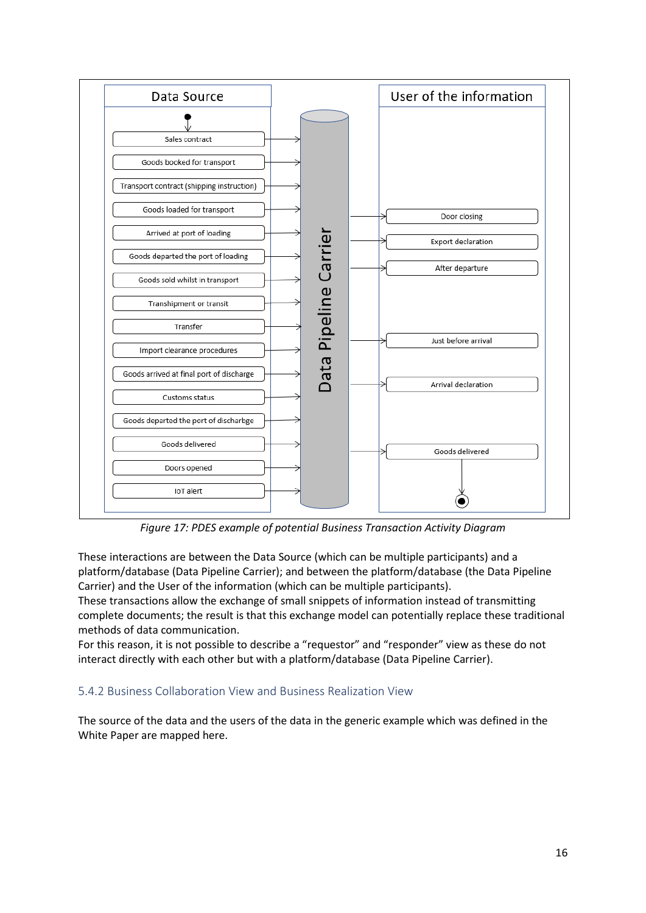

<span id="page-15-0"></span>*Figure 17: PDES example of potential Business Transaction Activity Diagram*

These interactions are between the Data Source (which can be multiple participants) and a platform/database (Data Pipeline Carrier); and between the platform/database (the Data Pipeline Carrier) and the User of the information (which can be multiple participants).

These transactions allow the exchange of small snippets of information instead of transmitting complete documents; the result is that this exchange model can potentially replace these traditional methods of data communication.

For this reason, it is not possible to describe a "requestor" and "responder" view as these do not interact directly with each other but with a platform/database (Data Pipeline Carrier).

#### 5.4.2 Business Collaboration View and Business Realization View

The source of the data and the users of the data in the generic example which was defined in the White Paper are mapped here.